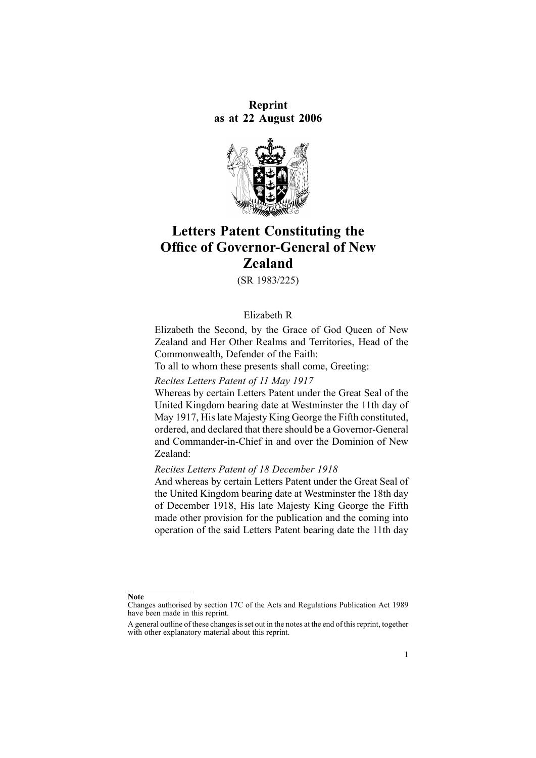**Reprint as at 22 August 2006**



# **Letters Patent Constituting the Office of Governor-General of New Zealand**

(SR 1983/225)

#### Elizabeth R

Elizabeth the Second, by the Grace of God Queen of New Zealand and Her Other Realms and Territories, Head of the Commonwealth, Defender of the Faith:

To all to whom these presents shall come, Greeting:

*Recites Letters Patent of 11 May 1917*

Whereas by certain Letters Patent under the Great Seal of the United Kingdom bearing date at Westminster the 11th day of May 1917, Hislate Majesty King George the Fifth constituted, ordered, and declared that there should be <sup>a</sup> Governor-General and Commander-in-Chief in and over the Dominion of New Zealand:

#### *Recites Letters Patent of 18 December 1918*

And whereas by certain Letters Patent under the Great Seal of the United Kingdom bearing date at Westminster the 18th day of December 1918, His late Majesty King George the Fifth made other provision for the publication and the coming into operation of the said Letters Patent bearing date the 11th day

**Note**

Changes authorised by [section](http://www.legislation.govt.nz/pdflink.aspx?id=DLM195466) 17C of the Acts and Regulations Publication Act 1989 have been made in this reprint.

A general outline of these changes is set out in the notes at the end of this reprint, together with other explanatory material about this reprint.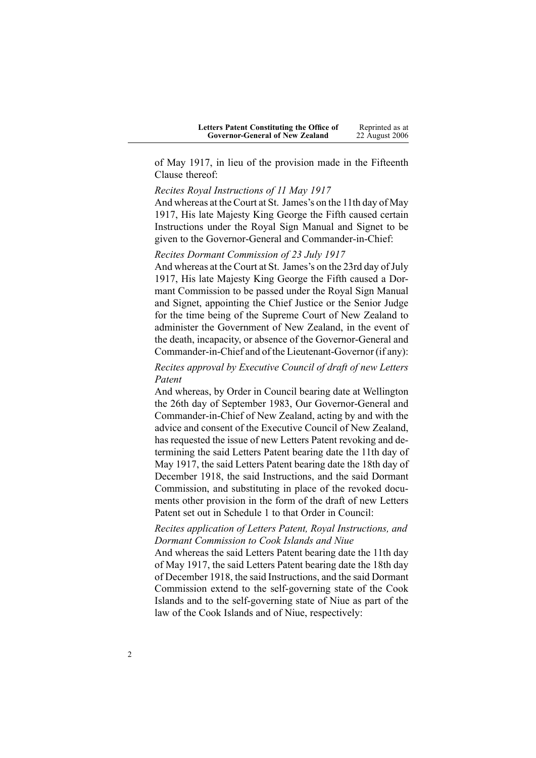| <b>Letters Patent Constituting the Office of</b> | Reprinted as at |
|--------------------------------------------------|-----------------|
| <b>Governor-General of New Zealand</b>           | 22 August 2006  |

of May 1917, in lieu of the provision made in the Fifteenth Clause thereof:

*Recites Royal Instructions of 11 May 1917*

And whereas at the Court at St. James's on the 11th day of May 1917, His late Majesty King George the Fifth caused certain Instructions under the Royal Sign Manual and Signet to be given to the Governor-General and Commander-in-Chief:

### *Recites Dormant Commission of 23 July 1917*

And whereas at the Court at St. James's on the 23rd day of July 1917, His late Majesty King George the Fifth caused <sup>a</sup> Dormant Commission to be passed under the Royal Sign Manual and Signet, appointing the Chief Justice or the Senior Judge for the time being of the Supreme Court of New Zealand to administer the Government of New Zealand, in the event of the death, incapacity, or absence of the Governor-General and Commander-in-Chief and of the Lieutenant-Governor (if any):

*Recites approval by Executive Council of draft of new Letters Patent*

And whereas, by Order in Council bearing date at Wellington the 26th day of September 1983, Our Governor-General and Commander-in-Chief of New Zealand, acting by and with the advice and consent of the Executive Council of New Zealand, has requested the issue of new Letters Patent revoking and determining the said Letters Patent bearing date the 11th day of May 1917, the said Letters Patent bearing date the 18th day of December 1918, the said Instructions, and the said Dormant Commission, and substituting in place of the revoked documents other provision in the form of the draft of new Letters Patent set out in Schedule 1 to that Order in Council:

# *Recites application of Letters Patent, Royal Instructions, and Dormant Commission to Cook Islands and Niue*

And whereas the said Letters Patent bearing date the 11th day of May 1917, the said Letters Patent bearing date the 18th day of December 1918, the said Instructions, and the said Dormant Commission extend to the self-governing state of the Cook Islands and to the self-governing state of Niue as par<sup>t</sup> of the law of the Cook Islands and of Niue, respectively: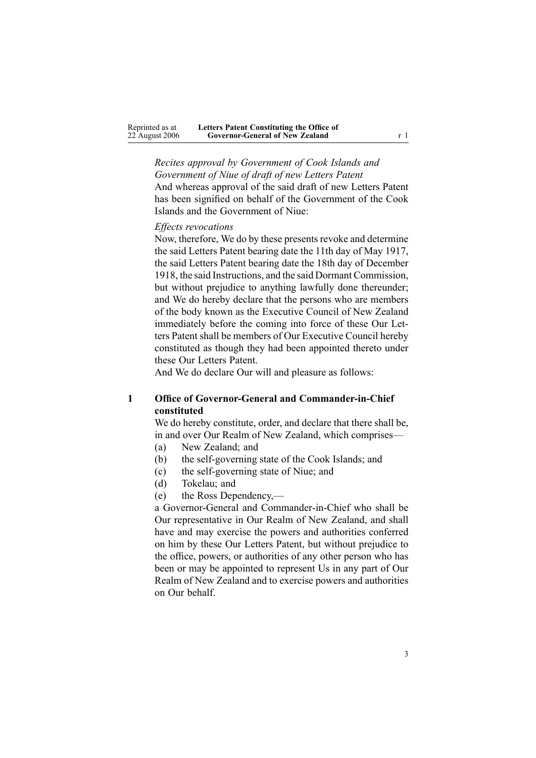*Recites approval by Government of Cook Islands and Government of Niue of draft of new Letters Patent* And whereas approval of the said draft of new Letters Patent has been signified on behalf of the Government of the Cook Islands and the Government of Niue:

#### *Effects revocations*

Now, therefore, We do by these presents revoke and determine the said Letters Patent bearing date the 11th day of May 1917, the said Letters Patent bearing date the 18th day of December 1918, the said Instructions, and the said Dormant Commission, but without prejudice to anything lawfully done thereunder; and We do hereby declare that the persons who are members of the body known as the Executive Council of New Zealand immediately before the coming into force of these Our Letters Patent shall be members of Our Executive Council hereby constituted as though they had been appointed thereto under these Our Letters Patent.

And We do declare Our will and pleasure as follows:

# **1 Office of Governor-General and Commander-in-Chief constituted**

We do hereby constitute, order, and declare that there shall be, in and over Our Realm of New Zealand, which comprises—

- (a) New Zealand; and
- (b) the self-governing state of the Cook Islands; and
- (c) the self-governing state of Niue; and
- (d) Tokelau; and
- (e) the Ross Dependency,—

<sup>a</sup> Governor-General and Commander-in-Chief who shall be Our representative in Our Realm of New Zealand, and shall have and may exercise the powers and authorities conferred on him by these Our Letters Patent, but without prejudice to the office, powers, or authorities of any other person who has been or may be appointed to represen<sup>t</sup> Us in any par<sup>t</sup> of Our Realm of New Zealand and to exercise powers and authorities on Our behalf.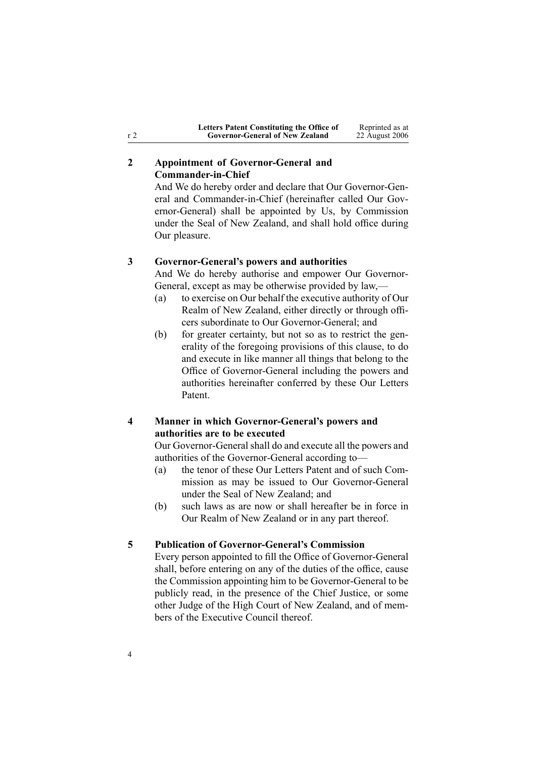# **2 Appointment of Governor-General and Commander-in-Chief**

And We do hereby order and declare that Our Governor-General and Commander-in-Chief (hereinafter called Our Governor-General) shall be appointed by Us, by Commission under the Seal of New Zealand, and shall hold office during Our pleasure.

#### **3 Governor-General's powers and authorities**

And We do hereby authorise and empower Our Governor-General, excep<sup>t</sup> as may be otherwise provided by law,—

- (a) to exercise on Our behalf the executive authority of Our Realm of New Zealand, either directly or through officers subordinate to Our Governor-General; and
- (b) for greater certainty, but not so as to restrict the generality of the foregoing provisions of this clause, to do and execute in like manner all things that belong to the Office of Governor-General including the powers and authorities hereinafter conferred by these Our Letters Patent.

# **4 Manner in which Governor-General's powers and authorities are to be executed**

Our Governor-General shall do and execute all the powers and authorities of the Governor-General according to—

- (a) the tenor of these Our Letters Patent and of such Commission as may be issued to Our Governor-General under the Seal of New Zealand; and
- (b) such laws as are now or shall hereafter be in force in Our Realm of New Zealand or in any par<sup>t</sup> thereof.

#### **5 Publication of Governor-General's Commission**

Every person appointed to fill the Office of Governor-General shall, before entering on any of the duties of the office, cause the Commission appointing him to be Governor-General to be publicly read, in the presence of the Chief Justice, or some other Judge of the High Court of New Zealand, and of members of the Executive Council thereof.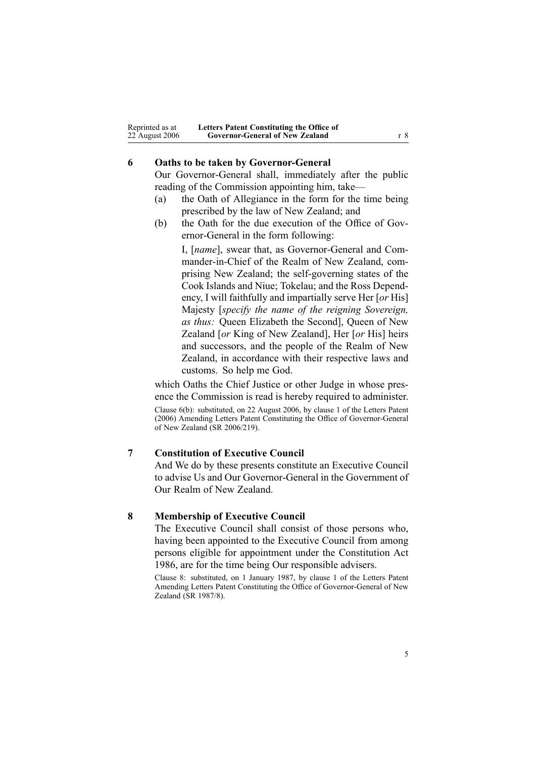| Reprinted as at | Letters Patent Constituting the Office of |     |
|-----------------|-------------------------------------------|-----|
| 22 August 2006  | <b>Governor-General of New Zealand</b>    | r 8 |

## **6 Oaths to be taken by Governor-General**

Our Governor-General shall, immediately after the public reading of the Commission appointing him, take—

- (a) the Oath of Allegiance in the form for the time being prescribed by the law of New Zealand; and
- (b) the Oath for the due execution of the Office of Governor-General in the form following:

I, [*name*], swear that, as Governor-General and Commander-in-Chief of the Realm of New Zealand, comprising New Zealand; the self-governing states of the Cook Islands and Niue; Tokelau; and the Ross Dependency, I will faithfully and impartially serve Her [*or* His] Majesty [*specify the name of the reigning Sovereign, as thus:* Queen Elizabeth the Second], Queen of New Zealand [*or* King of New Zealand], Her [*or* His] heirs and successors, and the people of the Realm of New Zealand, in accordance with their respective laws and customs. So help me God.

which Oaths the Chief Justice or other Judge in whose presence the Commission is read is hereby required to administer.

Clause 6(b): substituted, on 22 August 2006, by [clause](http://www.legislation.govt.nz/pdflink.aspx?id=DLM401389) 1 of the Letters Patent (2006) Amending Letters Patent Constituting the Office of Governor-General of New Zealand (SR 2006/219).

#### **7 Constitution of Executive Council**

And We do by these presents constitute an Executive Council to advise Us and Our Governor-General in the Government of Our Realm of New Zealand.

#### **8 Membership of Executive Council**

The Executive Council shall consist of those persons who, having been appointed to the Executive Council from among persons eligible for appointment under the Constitution Act 1986, are for the time being Our responsible advisers.

Clause 8: substituted, on 1 January 1987, by clause 1 of the Letters Patent Amending Letters Patent Constituting the Office of Governor-General of New Zealand (SR 1987/8).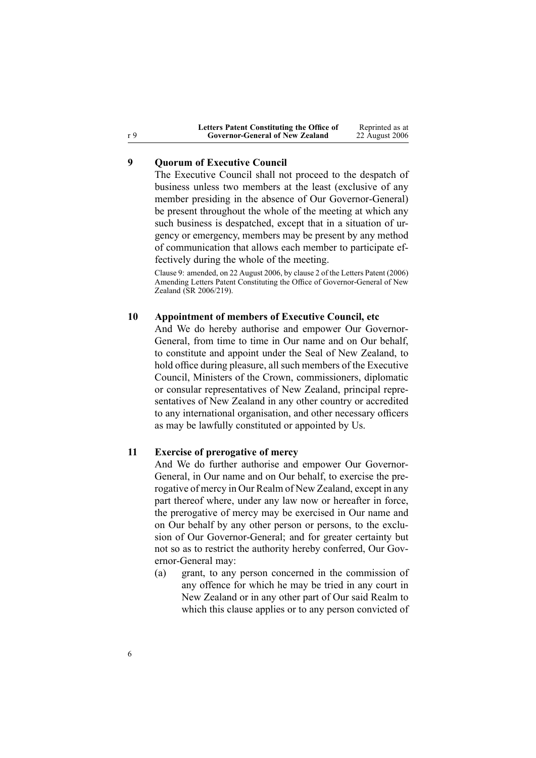|     | Letters Patent Constituting the Office of | Reprinted as at |
|-----|-------------------------------------------|-----------------|
| r 9 | <b>Governor-General of New Zealand</b>    | 22 August 2006  |

# **9 Quorum of Executive Council**

The Executive Council shall not proceed to the despatch of business unless two members at the least (exclusive of any member presiding in the absence of Our Governor-General) be presen<sup>t</sup> throughout the whole of the meeting at which any such business is despatched, excep<sup>t</sup> that in <sup>a</sup> situation of urgency or emergency, members may be presen<sup>t</sup> by any method of communication that allows each member to participate effectively during the whole of the meeting.

Clause 9: amended, on 22 August 2006, by [clause](http://www.legislation.govt.nz/pdflink.aspx?id=DLM401390) 2 of the Letters Patent (2006) Amending Letters Patent Constituting the Office of Governor-General of New Zealand (SR 2006/219).

#### **10 Appointment of members of Executive Council, etc**

And We do hereby authorise and empower Our Governor-General, from time to time in Our name and on Our behalf, to constitute and appoint under the Seal of New Zealand, to hold office during pleasure, all such members of the Executive Council, Ministers of the Crown, commissioners, diplomatic or consular representatives of New Zealand, principal representatives of New Zealand in any other country or accredited to any international organisation, and other necessary officers as may be lawfully constituted or appointed by Us.

#### **11 Exercise of prerogative of mercy**

And We do further authorise and empower Our Governor-General, in Our name and on Our behalf, to exercise the prerogative of mercy in Our Realm of New Zealand, excep<sup>t</sup> in any par<sup>t</sup> thereof where, under any law now or hereafter in force, the prerogative of mercy may be exercised in Our name and on Our behalf by any other person or persons, to the exclusion of Our Governor-General; and for greater certainty but not so as to restrict the authority hereby conferred, Our Governor-General may:

(a) grant, to any person concerned in the commission of any offence for which he may be tried in any court in New Zealand or in any other par<sup>t</sup> of Our said Realm to which this clause applies or to any person convicted of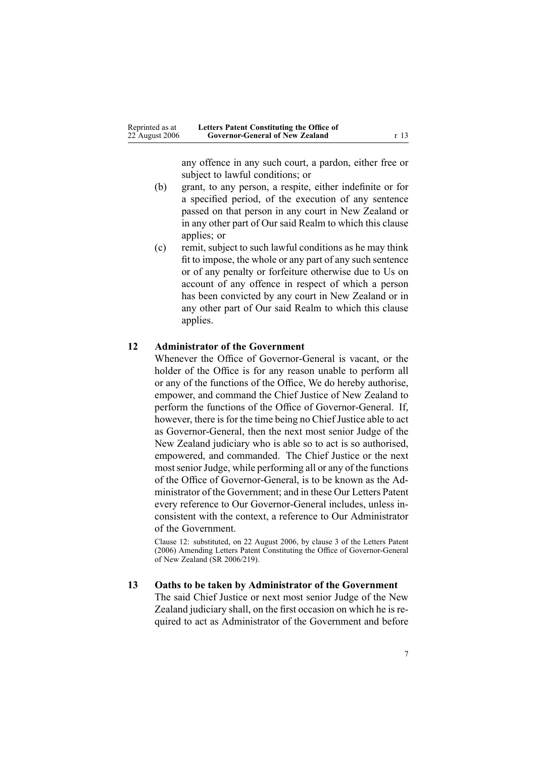any offence in any such court, <sup>a</sup> pardon, either free or subject to lawful conditions; or

- (b) grant, to any person, <sup>a</sup> respite, either indefinite or for <sup>a</sup> specified period, of the execution of any sentence passed on that person in any court in New Zealand or in any other par<sup>t</sup> of Our said Realm to which this clause applies; or
- (c) remit, subject to such lawful conditions as he may think fit to impose, the whole or any par<sup>t</sup> of any such sentence or of any penalty or forfeiture otherwise due to Us on account of any offence in respec<sup>t</sup> of which <sup>a</sup> person has been convicted by any court in New Zealand or in any other par<sup>t</sup> of Our said Realm to which this clause applies.

## **12 Administrator of the Government**

Whenever the Office of Governor-General is vacant, or the holder of the Office is for any reason unable to perform all or any of the functions of the Office, We do hereby authorise, empower, and command the Chief Justice of New Zealand to perform the functions of the Office of Governor-General. If, however, there is for the time being no Chief Justice able to act as Governor-General, then the next most senior Judge of the New Zealand judiciary who is able so to act is so authorised, empowered, and commanded. The Chief Justice or the next most senior Judge, while performing all or any of the functions of the Office of Governor-General, is to be known as the Administrator of the Government; and in these Our Letters Patent every reference to Our Governor-General includes, unless inconsistent with the context, <sup>a</sup> reference to Our Administrator of the Government.

Clause 12: substituted, on 22 August 2006, by [clause](http://www.legislation.govt.nz/pdflink.aspx?id=DLM401391) 3 of the Letters Patent (2006) Amending Letters Patent Constituting the Office of Governor-General of New Zealand (SR 2006/219).

# **13 Oaths to be taken by Administrator of the Government**

The said Chief Justice or next most senior Judge of the New Zealand judiciary shall, on the first occasion on which he is required to act as Administrator of the Government and before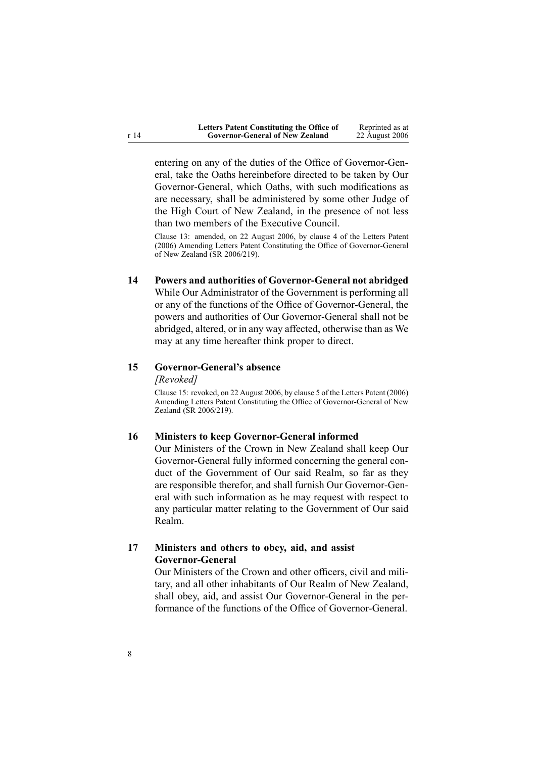| Letters Patent Constituting the Office of | Reprinted as at |
|-------------------------------------------|-----------------|
| <b>Governor-General of New Zealand</b>    | 22 August 2006  |

entering on any of the duties of the Office of Governor-General, take the Oaths hereinbefore directed to be taken by Our Governor-General, which Oaths, with such modifications as are necessary, shall be administered by some other Judge of the High Court of New Zealand, in the presence of not less than two members of the Executive Council.

Clause 13: amended, on 22 August 2006, by [clause](http://www.legislation.govt.nz/pdflink.aspx?id=DLM401393) 4 of the Letters Patent (2006) Amending Letters Patent Constituting the Office of Governor-General of New Zealand (SR 2006/219).

# **14 Powers and authorities of Governor-General not abridged**

While Our Administrator of the Government is performing all or any of the functions of the Office of Governor-General, the powers and authorities of Our Governor-General shall not be abridged, altered, or in any way affected, otherwise than as We may at any time hereafter think proper to direct.

# **15 Governor-General's absence**

*[Revoked]*

Clause 15: revoked, on 22 August 2006, by [clause](http://www.legislation.govt.nz/pdflink.aspx?id=DLM401394) 5 of the Letters Patent (2006) Amending Letters Patent Constituting the Office of Governor-General of New Zealand (SR 2006/219).

#### **16 Ministers to keep Governor-General informed**

Our Ministers of the Crown in New Zealand shall keep Our Governor-General fully informed concerning the general conduct of the Government of Our said Realm, so far as they are responsible therefor, and shall furnish Our Governor-General with such information as he may reques<sup>t</sup> with respec<sup>t</sup> to any particular matter relating to the Government of Our said Realm.

# **17 Ministers and others to obey, aid, and assist Governor-General**

Our Ministers of the Crown and other officers, civil and military, and all other inhabitants of Our Realm of New Zealand, shall obey, aid, and assist Our Governor-General in the performance of the functions of the Office of Governor-General.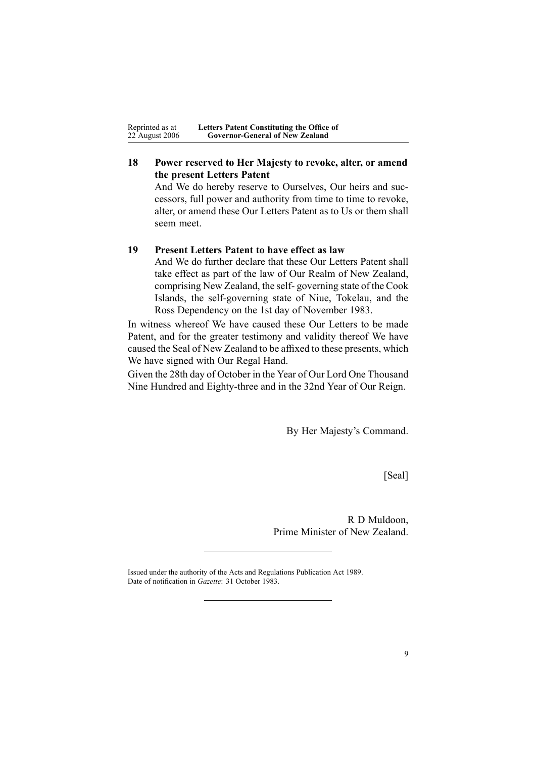| Reprinted as at | Letters Patent Constituting the Office of |  |
|-----------------|-------------------------------------------|--|
| 22 August 2006  | <b>Governor-General of New Zealand</b>    |  |

# **18 Power reserved to Her Majesty to revoke, alter, or amend the present Letters Patent**

And We do hereby reserve to Ourselves, Our heirs and successors, full power and authority from time to time to revoke, alter, or amend these Our Letters Patent as to Us or them shall seem meet.

### **19 Present Letters Patent to have effect as law**

And We do further declare that these Our Letters Patent shall take effect as par<sup>t</sup> of the law of Our Realm of New Zealand, comprising New Zealand, the self- governing state of the Cook Islands, the self-governing state of Niue, Tokelau, and the Ross Dependency on the 1st day of November 1983.

In witness whereof We have caused these Our Letters to be made Patent, and for the greater testimony and validity thereof We have caused the Seal of New Zealand to be affixed to these presents, which We have signed with Our Regal Hand.

Given the 28th day of October in the Year of Our Lord One Thousand Nine Hundred and Eighty-three and in the 32nd Year of Our Reign.

By Her Majesty's Command.

[Seal]

R D Muldoon, Prime Minister of New Zealand.

Issued under the authority of the Acts and [Regulations](http://www.legislation.govt.nz/pdflink.aspx?id=DLM195097) Publication Act 1989. Date of notification in *Gazette*: 31 October 1983.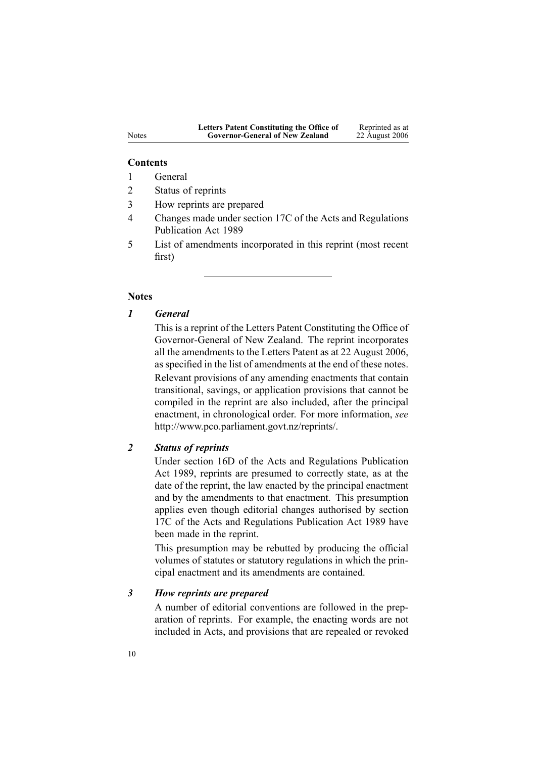#### **Contents**

- 1 General
- 2 Status of reprints
- 3 How reprints are prepared
- 4 Changes made under section 17C of the Acts and Regulations Publication Act 1989
- 5 List of amendments incorporated in this reprint (most recent first)

#### **Notes**

## *1 General*

This is <sup>a</sup> reprint of the Letters Patent Constituting the Office of Governor-General of New Zealand. The reprint incorporates all the amendments to the Letters Patent as at 22 August 2006, as specified in the list of amendments at the end of these notes. Relevant provisions of any amending enactments that contain transitional, savings, or application provisions that cannot be compiled in the reprint are also included, after the principal enactment, in chronological order. For more information, *see* <http://www.pco.parliament.govt.nz/reprints/>.

# *2 Status of reprints*

Under [section](http://www.legislation.govt.nz/pdflink.aspx?id=DLM195439) 16D of the Acts and Regulations Publication Act 1989, reprints are presumed to correctly state, as at the date of the reprint, the law enacted by the principal enactment and by the amendments to that enactment. This presumption applies even though editorial changes authorised by [section](http://www.legislation.govt.nz/pdflink.aspx?id=DLM195466) [17C](http://www.legislation.govt.nz/pdflink.aspx?id=DLM195466) of the Acts and Regulations Publication Act 1989 have been made in the reprint.

This presumption may be rebutted by producing the official volumes of statutes or statutory regulations in which the principal enactment and its amendments are contained.

#### *3 How reprints are prepared*

A number of editorial conventions are followed in the preparation of reprints. For example, the enacting words are not included in Acts, and provisions that are repealed or revoked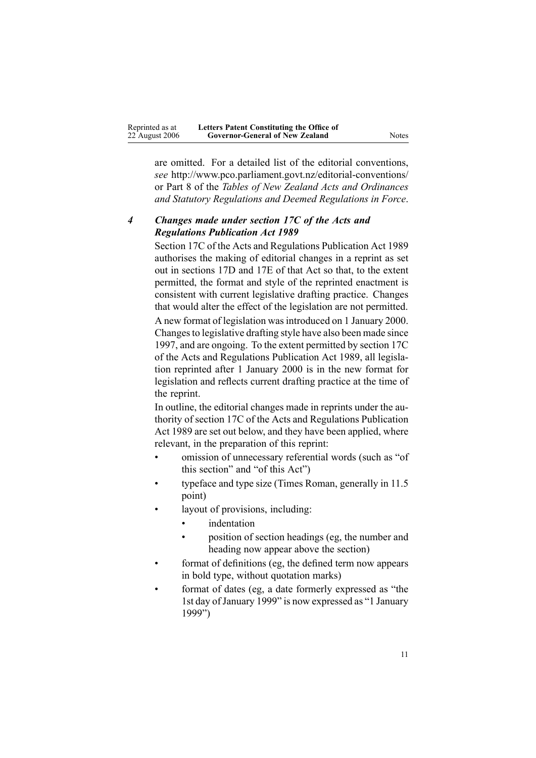are omitted. For <sup>a</sup> detailed list of the editorial conventions, *see* [http://www.pco.parliament.govt.nz/editorial-conventions/](http://www.pco.parliament.govt.nz/editorial-conventions/ ) or Part 8 of the *Tables of New Zealand Acts and Ordinances and Statutory Regulations and Deemed Regulations in Force*.

# *4 Changes made under section 17C of the Acts and Regulations Publication Act 1989*

[Section](http://www.legislation.govt.nz/pdflink.aspx?id=DLM195466) 17C of the Acts and Regulations Publication Act 1989 authorises the making of editorial changes in <sup>a</sup> reprint as set out in [sections](http://www.legislation.govt.nz/pdflink.aspx?id=DLM195468) 17D and [17E](http://www.legislation.govt.nz/pdflink.aspx?id=DLM195470) of that Act so that, to the extent permitted, the format and style of the reprinted enactment is consistent with current legislative drafting practice. Changes that would alter the effect of the legislation are not permitted.

A new format of legislation wasintroduced on 1 January 2000. Changesto legislative drafting style have also been made since 1997, and are ongoing. To the extent permitted by [section](http://www.legislation.govt.nz/pdflink.aspx?id=DLM195466) 17C of the Acts and Regulations Publication Act 1989, all legislation reprinted after 1 January 2000 is in the new format for legislation and reflects current drafting practice at the time of the reprint.

In outline, the editorial changes made in reprints under the authority of [section](http://www.legislation.govt.nz/pdflink.aspx?id=DLM195466) 17C of the Acts and Regulations Publication Act 1989 are set out below, and they have been applied, where relevant, in the preparation of this reprint:

- • omission of unnecessary referential words (such as "of this section" and "of this Act")
- • typeface and type size (Times Roman, generally in 11.5 point)
- • layout of provisions, including:
	- •indentation
	- • position of section headings (eg, the number and heading now appear above the section)
- • format of definitions (eg, the defined term now appears in bold type, without quotation marks)
- • format of dates (eg, <sup>a</sup> date formerly expressed as "the 1st day ofJanuary 1999" is now expressed as "1 January 1999")